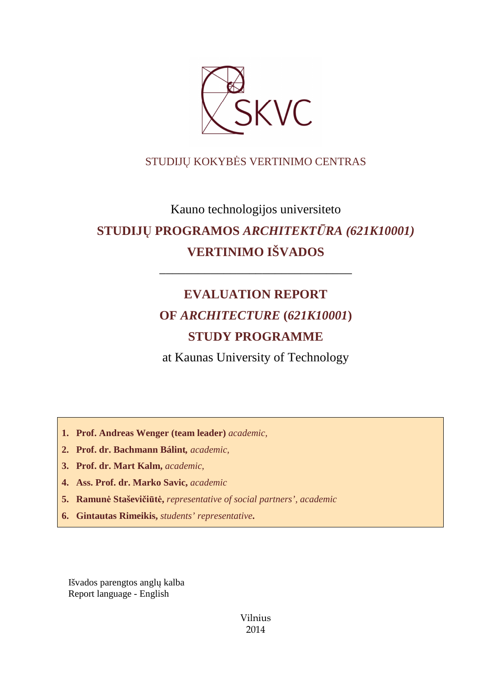

## STUDIJŲ KOKYBĖS VERTINIMO CENTRAS

# Kauno technologijos universiteto **STUDIJŲ PROGRAMOS** *ARCHITEKTŪRA (621K10001)* **VERTINIMO IŠVADOS**

# **EVALUATION REPORT OF** *ARCHITECTURE* **(***621K10001***) STUDY PROGRAMME**

––––––––––––––––––––––––––––––

at Kaunas University of Technology

**1. Prof. Andreas Wenger (team leader)** *academic,*

- **2. Prof. dr. Bachmann Bálint***, academic,*
- **3. Prof. dr. Mart Kalm,** *academic,*
- **4. Ass. Prof. dr. Marko Savic,** *academic*
- **5. Ramunė Staševičiūtė,** *representative of social partners', academic*
- **6. Gintautas Rimeikis,** *students' representative***.**

Išvados parengtos anglų kalba Report language - English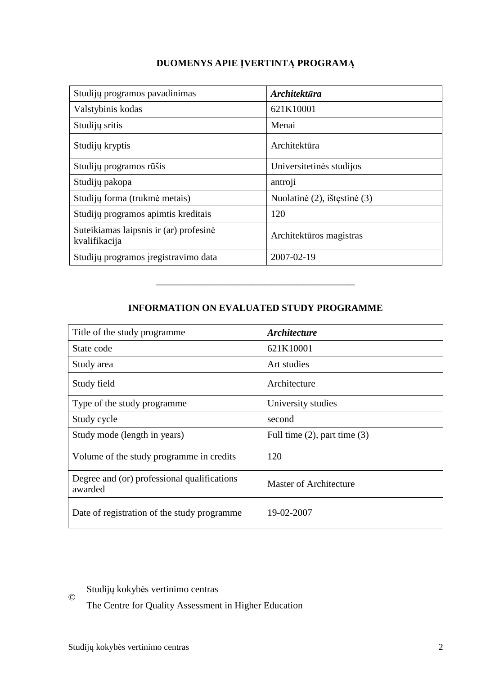## **DUOMENYS APIE ĮVERTINTĄ PROGRAMĄ**

| Studijų programos pavadinimas                           | <i><b>Architektūra</b></i>   |
|---------------------------------------------------------|------------------------------|
| Valstybinis kodas                                       | 621K10001                    |
| Studijų sritis                                          | Menai                        |
| Studijų kryptis                                         | Architektūra                 |
| Studijų programos rūšis                                 | Universitetinės studijos     |
| Studijų pakopa                                          | antroji                      |
| Studijų forma (trukmė metais)                           | Nuolatinė (2), ištęstinė (3) |
| Studijų programos apimtis kreditais                     | 120                          |
| Suteikiamas laipsnis ir (ar) profesinė<br>kvalifikacija | Architektūros magistras      |
| Studijų programos įregistravimo data                    | 2007-02-19                   |

## **INFORMATION ON EVALUATED STUDY PROGRAMME**

–––––––––––––––––––––––––––––––

| Title of the study programme                           | <i><b>Architecture</b></i>        |
|--------------------------------------------------------|-----------------------------------|
| State code                                             | 621K10001                         |
| Study area                                             | Art studies                       |
| Study field                                            | Architecture                      |
| Type of the study programme                            | University studies                |
| Study cycle                                            | second                            |
| Study mode (length in years)                           | Full time $(2)$ , part time $(3)$ |
| Volume of the study programme in credits               | 120                               |
| Degree and (or) professional qualifications<br>awarded | <b>Master of Architecture</b>     |
| Date of registration of the study programme            | 19-02-2007                        |

Studijų kokybės vertinimo centras

The Centre for Quality Assessment in Higher Education

©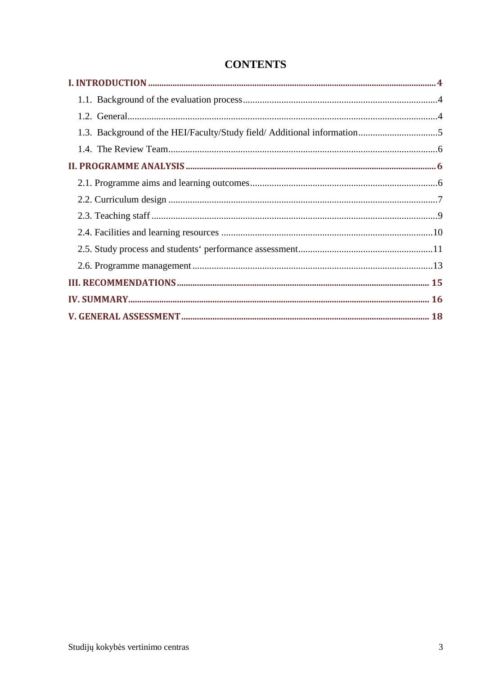| 1.3. Background of the HEI/Faculty/Study field/ Additional information5 |  |
|-------------------------------------------------------------------------|--|
|                                                                         |  |
|                                                                         |  |
|                                                                         |  |
|                                                                         |  |
|                                                                         |  |
|                                                                         |  |
|                                                                         |  |
|                                                                         |  |
|                                                                         |  |
|                                                                         |  |
|                                                                         |  |

# **CONTENTS**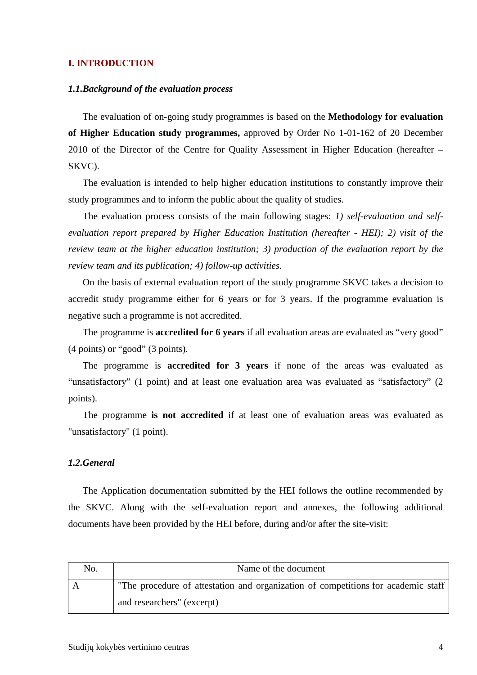#### **I. INTRODUCTION**

#### *1.1.Background of the evaluation process*

The evaluation of on-going study programmes is based on the **Methodology for evaluation of Higher Education study programmes,** approved by Order No 1-01-162 of 20 December 2010 of the Director of the Centre for Quality Assessment in Higher Education (hereafter – SKVC).

The evaluation is intended to help higher education institutions to constantly improve their study programmes and to inform the public about the quality of studies.

The evaluation process consists of the main following stages: *1) self-evaluation and selfevaluation report prepared by Higher Education Institution (hereafter - HEI); 2) visit of the review team at the higher education institution; 3) production of the evaluation report by the review team and its publication; 4) follow-up activities.* 

On the basis of external evaluation report of the study programme SKVC takes a decision to accredit study programme either for 6 years or for 3 years. If the programme evaluation is negative such a programme is not accredited.

The programme is **accredited for 6 years** if all evaluation areas are evaluated as "very good" (4 points) or "good" (3 points).

The programme is **accredited for 3 years** if none of the areas was evaluated as "unsatisfactory" (1 point) and at least one evaluation area was evaluated as "satisfactory" (2 points).

The programme **is not accredited** if at least one of evaluation areas was evaluated as "unsatisfactory" (1 point).

#### *1.2.General*

The Application documentation submitted by the HEI follows the outline recommended by the SKVC. Along with the self-evaluation report and annexes, the following additional documents have been provided by the HEI before, during and/or after the site-visit:

| No. | Name of the document                                                              |
|-----|-----------------------------------------------------------------------------------|
|     | "The procedure of attestation and organization of competitions for academic staff |
|     | and researchers" (excerpt)                                                        |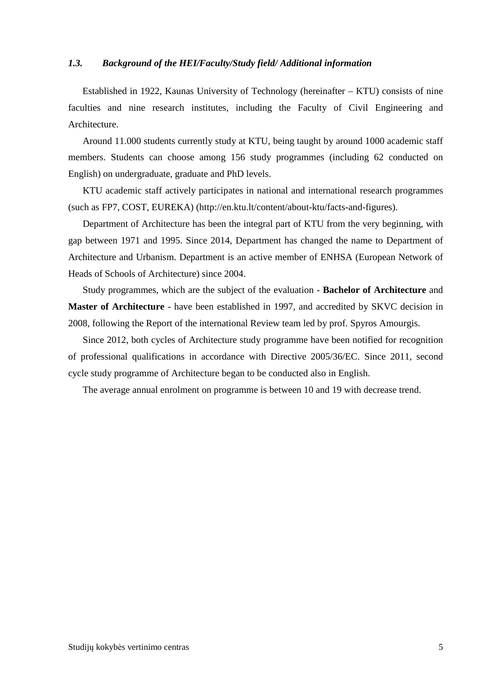#### *1.3. Background of the HEI/Faculty/Study field/ Additional information*

Established in 1922, Kaunas University of Technology (hereinafter – KTU) consists of nine faculties and nine research institutes, including the Faculty of Civil Engineering and Architecture.

Around 11.000 students currently study at KTU, being taught by around 1000 academic staff members. Students can choose among 156 study programmes (including 62 conducted on English) on undergraduate, graduate and PhD levels.

KTU academic staff actively participates in national and international research programmes (such as FP7, COST, EUREKA) (http://en.ktu.lt/content/about-ktu/facts-and-figures).

Department of Architecture has been the integral part of KTU from the very beginning, with gap between 1971 and 1995. Since 2014, Department has changed the name to Department of Architecture and Urbanism. Department is an active member of ENHSA (European Network of Heads of Schools of Architecture) since 2004.

Study programmes, which are the subject of the evaluation - **Bachelor of Architecture** and **Master of Architecture** - have been established in 1997, and accredited by SKVC decision in 2008, following the Report of the international Review team led by prof. Spyros Amourgis.

Since 2012, both cycles of Architecture study programme have been notified for recognition of professional qualifications in accordance with Directive 2005/36/EC. Since 2011, second cycle study programme of Architecture began to be conducted also in English.

The average annual enrolment on programme is between 10 and 19 with decrease trend.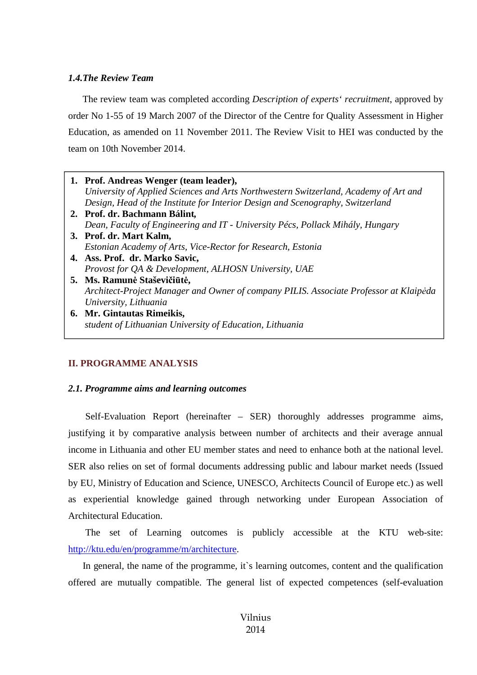#### *1.4.The Review Team*

The review team was completed according *Description of experts' recruitment*, approved by order No 1-55 of 19 March 2007 of the Director of the Centre for Quality Assessment in Higher Education, as amended on 11 November 2011. The Review Visit to HEI was conducted by the team on 10th November 2014.

**1. Prof. Andreas Wenger (team leader),**  *University of Applied Sciences and Arts Northwestern Switzerland, Academy of Art and Design, Head of the Institute for Interior Design and Scenography, Switzerland* **2. Prof. dr. Bachmann Bálint***, Dean, Faculty of Engineering and IT - University Pécs, Pollack Mihály, Hungary* **3. Prof. dr. Mart Kalm,**  *Estonian Academy of Arts, Vice-Rector for Research, Estonia* **4. Ass. Prof. dr. Marko Savic,**  *Provost for QA & Development, ALHOSN University, UAE* **5. Ms. Ramunė Staševičiūtė,**  *Architect-Project Manager and Owner of company PILIS. Associate Professor at Klaipėda University, Lithuania* **6. Mr. Gintautas Rimeikis,**  *student of Lithuanian University of Education, Lithuania*

### **II. PROGRAMME ANALYSIS**

#### *2.1. Programme aims and learning outcomes*

 Self-Evaluation Report (hereinafter – SER) thoroughly addresses programme aims, justifying it by comparative analysis between number of architects and their average annual income in Lithuania and other EU member states and need to enhance both at the national level. SER also relies on set of formal documents addressing public and labour market needs (Issued by EU, Ministry of Education and Science, UNESCO, Architects Council of Europe etc.) as well as experiential knowledge gained through networking under European Association of Architectural Education.

 The set of Learning outcomes is publicly accessible at the KTU web-site: http://ktu.edu/en/programme/m/architecture.

In general, the name of the programme, it`s learning outcomes, content and the qualification offered are mutually compatible. The general list of expected competences (self-evaluation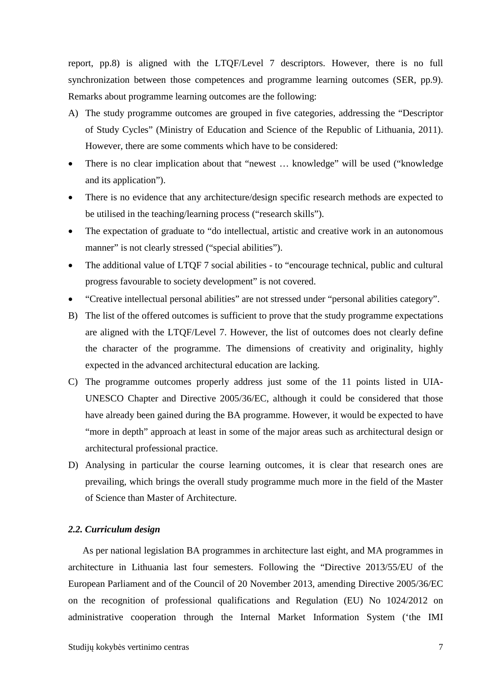report, pp.8) is aligned with the LTQF/Level 7 descriptors. However, there is no full synchronization between those competences and programme learning outcomes (SER, pp.9). Remarks about programme learning outcomes are the following:

- A) The study programme outcomes are grouped in five categories, addressing the "Descriptor of Study Cycles" (Ministry of Education and Science of the Republic of Lithuania, 2011). However, there are some comments which have to be considered:
- There is no clear implication about that "newest ... knowledge" will be used ("knowledge" and its application").
- There is no evidence that any architecture/design specific research methods are expected to be utilised in the teaching/learning process ("research skills").
- The expectation of graduate to "do intellectual, artistic and creative work in an autonomous manner" is not clearly stressed ("special abilities").
- The additional value of LTQF 7 social abilities to "encourage technical, public and cultural progress favourable to society development" is not covered.
- "Creative intellectual personal abilities" are not stressed under "personal abilities category".
- B) The list of the offered outcomes is sufficient to prove that the study programme expectations are aligned with the LTQF/Level 7. However, the list of outcomes does not clearly define the character of the programme. The dimensions of creativity and originality, highly expected in the advanced architectural education are lacking.
- C) The programme outcomes properly address just some of the 11 points listed in UIA-UNESCO Chapter and Directive 2005/36/EC, although it could be considered that those have already been gained during the BA programme. However, it would be expected to have "more in depth" approach at least in some of the major areas such as architectural design or architectural professional practice.
- D) Analysing in particular the course learning outcomes, it is clear that research ones are prevailing, which brings the overall study programme much more in the field of the Master of Science than Master of Architecture.

#### *2.2. Curriculum design*

As per national legislation BA programmes in architecture last eight, and MA programmes in architecture in Lithuania last four semesters. Following the "Directive 2013/55/EU of the European Parliament and of the Council of 20 November 2013, amending Directive 2005/36/EC on the recognition of professional qualifications and Regulation (EU) No 1024/2012 on administrative cooperation through the Internal Market Information System ('the IMI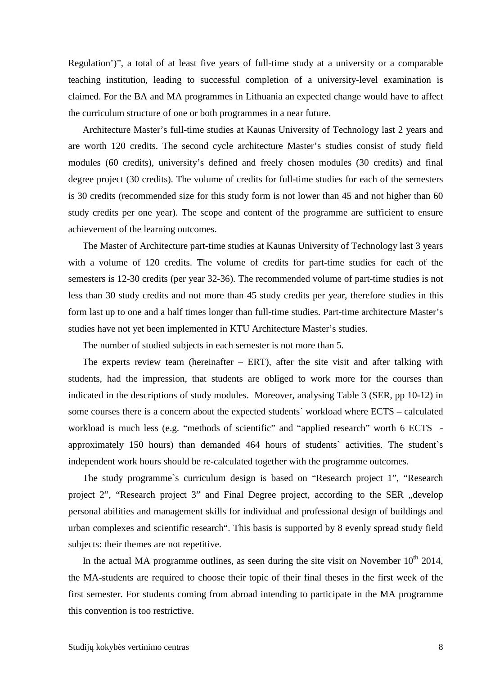Regulation')", a total of at least five years of full-time study at a university or a comparable teaching institution, leading to successful completion of a university-level examination is claimed. For the BA and MA programmes in Lithuania an expected change would have to affect the curriculum structure of one or both programmes in a near future.

Architecture Master's full-time studies at Kaunas University of Technology last 2 years and are worth 120 credits. The second cycle architecture Master's studies consist of study field modules (60 credits), university's defined and freely chosen modules (30 credits) and final degree project (30 credits). The volume of credits for full-time studies for each of the semesters is 30 credits (recommended size for this study form is not lower than 45 and not higher than 60 study credits per one year). The scope and content of the programme are sufficient to ensure achievement of the learning outcomes.

The Master of Architecture part-time studies at Kaunas University of Technology last 3 years with a volume of 120 credits. The volume of credits for part-time studies for each of the semesters is 12-30 credits (per year 32-36). The recommended volume of part-time studies is not less than 30 study credits and not more than 45 study credits per year, therefore studies in this form last up to one and a half times longer than full-time studies. Part-time architecture Master's studies have not yet been implemented in KTU Architecture Master's studies.

The number of studied subjects in each semester is not more than 5.

The experts review team (hereinafter  $-$  ERT), after the site visit and after talking with students, had the impression, that students are obliged to work more for the courses than indicated in the descriptions of study modules. Moreover, analysing Table 3 (SER, pp 10-12) in some courses there is a concern about the expected students` workload where ECTS – calculated workload is much less (e.g. "methods of scientific" and "applied research" worth 6 ECTS approximately 150 hours) than demanded 464 hours of students` activities. The student`s independent work hours should be re-calculated together with the programme outcomes.

The study programme`s curriculum design is based on "Research project 1", "Research project 2", "Research project 3" and Final Degree project, according to the SER "develop personal abilities and management skills for individual and professional design of buildings and urban complexes and scientific research". This basis is supported by 8 evenly spread study field subjects: their themes are not repetitive.

In the actual MA programme outlines, as seen during the site visit on November  $10^{th}$  2014, the MA-students are required to choose their topic of their final theses in the first week of the first semester. For students coming from abroad intending to participate in the MA programme this convention is too restrictive.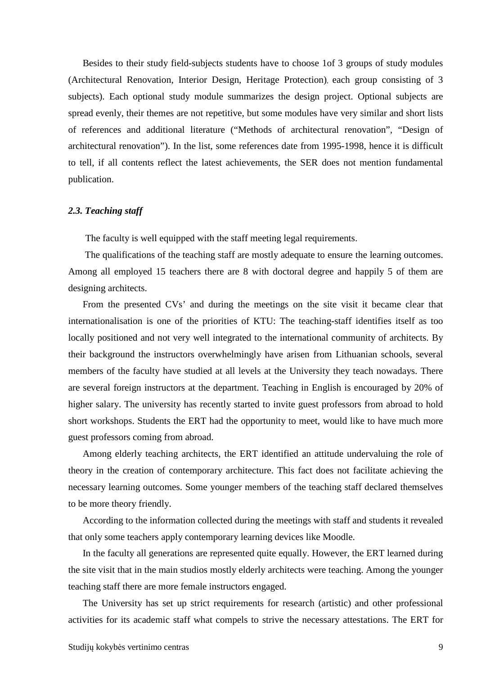Besides to their study field-subjects students have to choose 1of 3 groups of study modules (Architectural Renovation, Interior Design, Heritage Protection), each group consisting of 3 subjects). Each optional study module summarizes the design project. Optional subjects are spread evenly, their themes are not repetitive, but some modules have very similar and short lists of references and additional literature ("Methods of architectural renovation", "Design of architectural renovation"). In the list, some references date from 1995-1998, hence it is difficult to tell, if all contents reflect the latest achievements, the SER does not mention fundamental publication.

#### *2.3. Teaching staff*

The faculty is well equipped with the staff meeting legal requirements.

 The qualifications of the teaching staff are mostly adequate to ensure the learning outcomes. Among all employed 15 teachers there are 8 with doctoral degree and happily 5 of them are designing architects.

From the presented CVs' and during the meetings on the site visit it became clear that internationalisation is one of the priorities of KTU: The teaching-staff identifies itself as too locally positioned and not very well integrated to the international community of architects. By their background the instructors overwhelmingly have arisen from Lithuanian schools, several members of the faculty have studied at all levels at the University they teach nowadays. There are several foreign instructors at the department. Teaching in English is encouraged by 20% of higher salary. The university has recently started to invite guest professors from abroad to hold short workshops. Students the ERT had the opportunity to meet, would like to have much more guest professors coming from abroad.

Among elderly teaching architects, the ERT identified an attitude undervaluing the role of theory in the creation of contemporary architecture. This fact does not facilitate achieving the necessary learning outcomes. Some younger members of the teaching staff declared themselves to be more theory friendly.

According to the information collected during the meetings with staff and students it revealed that only some teachers apply contemporary learning devices like Moodle.

In the faculty all generations are represented quite equally. However, the ERT learned during the site visit that in the main studios mostly elderly architects were teaching. Among the younger teaching staff there are more female instructors engaged.

The University has set up strict requirements for research (artistic) and other professional activities for its academic staff what compels to strive the necessary attestations. The ERT for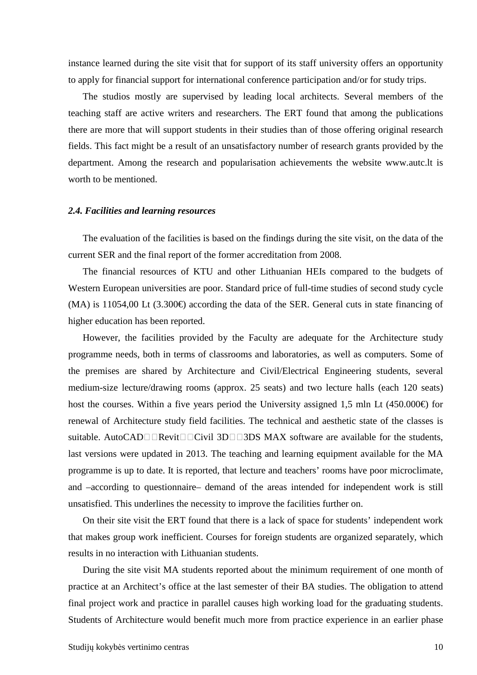instance learned during the site visit that for support of its staff university offers an opportunity to apply for financial support for international conference participation and/or for study trips.

The studios mostly are supervised by leading local architects. Several members of the teaching staff are active writers and researchers. The ERT found that among the publications there are more that will support students in their studies than of those offering original research fields. This fact might be a result of an unsatisfactory number of research grants provided by the department. Among the research and popularisation achievements the website www.autc.lt is worth to be mentioned.

#### *2.4. Facilities and learning resources*

The evaluation of the facilities is based on the findings during the site visit, on the data of the current SER and the final report of the former accreditation from 2008.

The financial resources of KTU and other Lithuanian HEIs compared to the budgets of Western European universities are poor. Standard price of full-time studies of second study cycle  $(MA)$  is 11054,00 Lt (3.300€) according the data of the SER. General cuts in state financing of higher education has been reported.

However, the facilities provided by the Faculty are adequate for the Architecture study programme needs, both in terms of classrooms and laboratories, as well as computers. Some of the premises are shared by Architecture and Civil/Electrical Engineering students, several medium-size lecture/drawing rooms (approx. 25 seats) and two lecture halls (each 120 seats) host the courses. Within a five years period the University assigned 1,5 mln Lt (450.000€) for renewal of Architecture study field facilities. The technical and aesthetic state of the classes is suitable. AutoCAD $\Box \Box$ Revit $\Box \Box$ Civil 3D $\Box \Box$ 3DS MAX software are available for the students, last versions were updated in 2013. The teaching and learning equipment available for the MA programme is up to date. It is reported, that lecture and teachers' rooms have poor microclimate, and –according to questionnaire– demand of the areas intended for independent work is still unsatisfied. This underlines the necessity to improve the facilities further on.

On their site visit the ERT found that there is a lack of space for students' independent work that makes group work inefficient. Courses for foreign students are organized separately, which results in no interaction with Lithuanian students.

During the site visit MA students reported about the minimum requirement of one month of practice at an Architect's office at the last semester of their BA studies. The obligation to attend final project work and practice in parallel causes high working load for the graduating students. Students of Architecture would benefit much more from practice experience in an earlier phase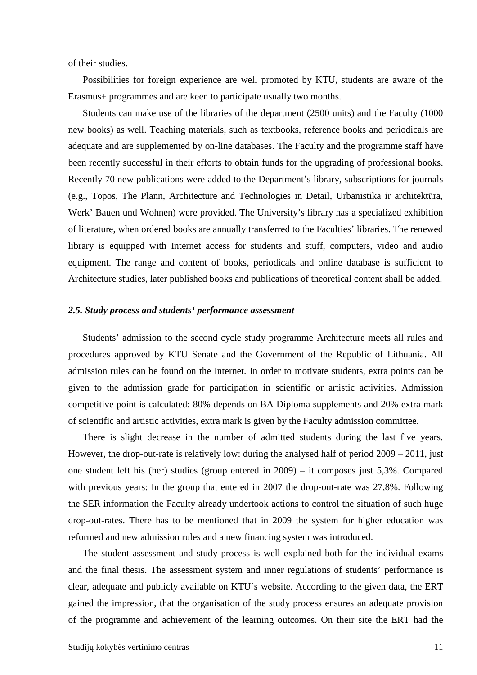of their studies.

Possibilities for foreign experience are well promoted by KTU, students are aware of the Erasmus+ programmes and are keen to participate usually two months.

Students can make use of the libraries of the department (2500 units) and the Faculty (1000 new books) as well. Teaching materials, such as textbooks, reference books and periodicals are adequate and are supplemented by on-line databases. The Faculty and the programme staff have been recently successful in their efforts to obtain funds for the upgrading of professional books. Recently 70 new publications were added to the Department's library, subscriptions for journals (e.g., Topos, The Plann, Architecture and Technologies in Detail, Urbanistika ir architektūra, Werk' Bauen und Wohnen) were provided. The University's library has a specialized exhibition of literature, when ordered books are annually transferred to the Faculties' libraries. The renewed library is equipped with Internet access for students and stuff, computers, video and audio equipment. The range and content of books, periodicals and online database is sufficient to Architecture studies, later published books and publications of theoretical content shall be added.

#### *2.5. Study process and students' performance assessment*

Students' admission to the second cycle study programme Architecture meets all rules and procedures approved by KTU Senate and the Government of the Republic of Lithuania. All admission rules can be found on the Internet. In order to motivate students, extra points can be given to the admission grade for participation in scientific or artistic activities. Admission competitive point is calculated: 80% depends on BA Diploma supplements and 20% extra mark of scientific and artistic activities, extra mark is given by the Faculty admission committee.

There is slight decrease in the number of admitted students during the last five years. However, the drop-out-rate is relatively low: during the analysed half of period 2009 – 2011, just one student left his (her) studies (group entered in 2009) – it composes just 5,3%. Compared with previous years: In the group that entered in 2007 the drop-out-rate was 27,8%. Following the SER information the Faculty already undertook actions to control the situation of such huge drop-out-rates. There has to be mentioned that in 2009 the system for higher education was reformed and new admission rules and a new financing system was introduced.

The student assessment and study process is well explained both for the individual exams and the final thesis. The assessment system and inner regulations of students' performance is clear, adequate and publicly available on KTU`s website. According to the given data, the ERT gained the impression, that the organisation of the study process ensures an adequate provision of the programme and achievement of the learning outcomes. On their site the ERT had the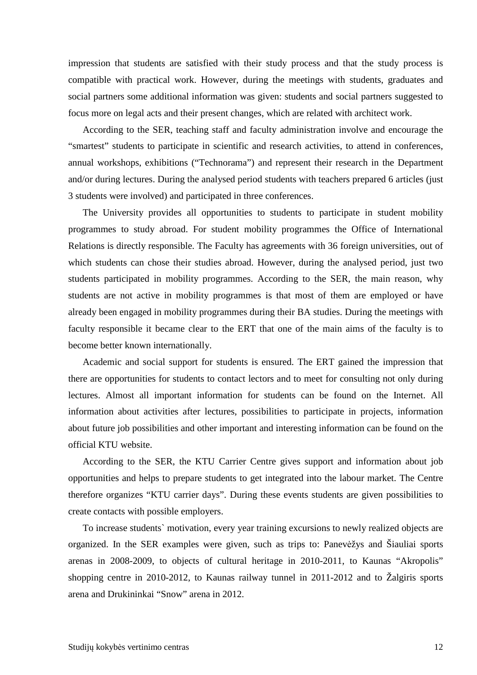impression that students are satisfied with their study process and that the study process is compatible with practical work. However, during the meetings with students, graduates and social partners some additional information was given: students and social partners suggested to focus more on legal acts and their present changes, which are related with architect work.

According to the SER, teaching staff and faculty administration involve and encourage the "smartest" students to participate in scientific and research activities, to attend in conferences, annual workshops, exhibitions ("Technorama") and represent their research in the Department and/or during lectures. During the analysed period students with teachers prepared 6 articles (just 3 students were involved) and participated in three conferences.

The University provides all opportunities to students to participate in student mobility programmes to study abroad. For student mobility programmes the Office of International Relations is directly responsible. The Faculty has agreements with 36 foreign universities, out of which students can chose their studies abroad. However, during the analysed period, just two students participated in mobility programmes. According to the SER, the main reason, why students are not active in mobility programmes is that most of them are employed or have already been engaged in mobility programmes during their BA studies. During the meetings with faculty responsible it became clear to the ERT that one of the main aims of the faculty is to become better known internationally.

Academic and social support for students is ensured. The ERT gained the impression that there are opportunities for students to contact lectors and to meet for consulting not only during lectures. Almost all important information for students can be found on the Internet. All information about activities after lectures, possibilities to participate in projects, information about future job possibilities and other important and interesting information can be found on the official KTU website.

According to the SER, the KTU Carrier Centre gives support and information about job opportunities and helps to prepare students to get integrated into the labour market. The Centre therefore organizes "KTU carrier days". During these events students are given possibilities to create contacts with possible employers.

To increase students` motivation, every year training excursions to newly realized objects are organized. In the SER examples were given, such as trips to: Panevėžys and Šiauliai sports arenas in 2008-2009, to objects of cultural heritage in 2010-2011, to Kaunas "Akropolis" shopping centre in 2010-2012, to Kaunas railway tunnel in 2011-2012 and to Žalgiris sports arena and Drukininkai "Snow" arena in 2012.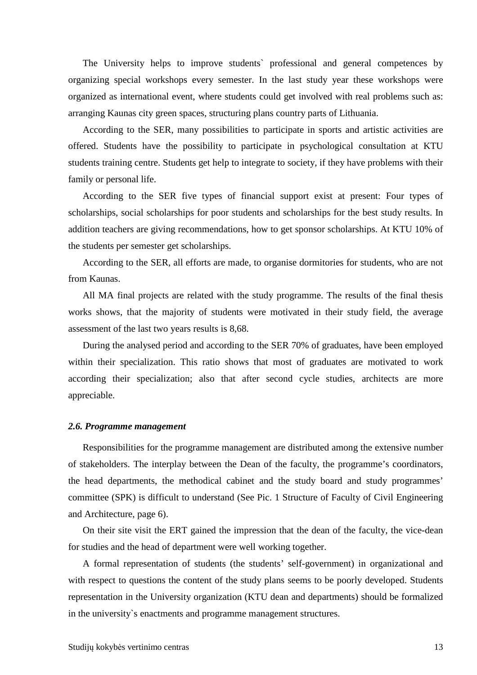The University helps to improve students` professional and general competences by organizing special workshops every semester. In the last study year these workshops were organized as international event, where students could get involved with real problems such as: arranging Kaunas city green spaces, structuring plans country parts of Lithuania.

According to the SER, many possibilities to participate in sports and artistic activities are offered. Students have the possibility to participate in psychological consultation at KTU students training centre. Students get help to integrate to society, if they have problems with their family or personal life.

According to the SER five types of financial support exist at present: Four types of scholarships, social scholarships for poor students and scholarships for the best study results. In addition teachers are giving recommendations, how to get sponsor scholarships. At KTU 10% of the students per semester get scholarships.

According to the SER, all efforts are made, to organise dormitories for students, who are not from Kaunas.

All MA final projects are related with the study programme. The results of the final thesis works shows, that the majority of students were motivated in their study field, the average assessment of the last two years results is 8,68.

During the analysed period and according to the SER 70% of graduates, have been employed within their specialization. This ratio shows that most of graduates are motivated to work according their specialization; also that after second cycle studies, architects are more appreciable.

#### *2.6. Programme management*

Responsibilities for the programme management are distributed among the extensive number of stakeholders. The interplay between the Dean of the faculty, the programme's coordinators, the head departments, the methodical cabinet and the study board and study programmes' committee (SPK) is difficult to understand (See Pic. 1 Structure of Faculty of Civil Engineering and Architecture, page 6).

On their site visit the ERT gained the impression that the dean of the faculty, the vice-dean for studies and the head of department were well working together.

A formal representation of students (the students' self-government) in organizational and with respect to questions the content of the study plans seems to be poorly developed. Students representation in the University organization (KTU dean and departments) should be formalized in the university`s enactments and programme management structures.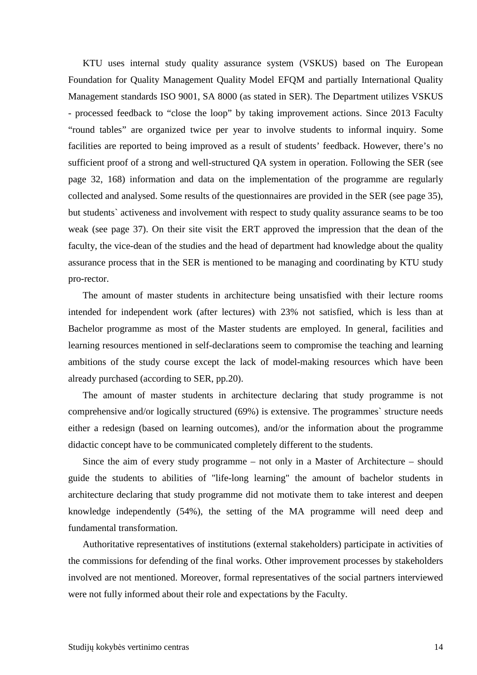KTU uses internal study quality assurance system (VSKUS) based on The European Foundation for Quality Management Quality Model EFQM and partially International Quality Management standards ISO 9001, SA 8000 (as stated in SER). The Department utilizes VSKUS - processed feedback to "close the loop" by taking improvement actions. Since 2013 Faculty "round tables" are organized twice per year to involve students to informal inquiry. Some facilities are reported to being improved as a result of students' feedback. However, there's no sufficient proof of a strong and well-structured QA system in operation. Following the SER (see page 32, 168) information and data on the implementation of the programme are regularly collected and analysed. Some results of the questionnaires are provided in the SER (see page 35), but students` activeness and involvement with respect to study quality assurance seams to be too weak (see page 37). On their site visit the ERT approved the impression that the dean of the faculty, the vice-dean of the studies and the head of department had knowledge about the quality assurance process that in the SER is mentioned to be managing and coordinating by KTU study pro-rector.

The amount of master students in architecture being unsatisfied with their lecture rooms intended for independent work (after lectures) with 23% not satisfied, which is less than at Bachelor programme as most of the Master students are employed. In general, facilities and learning resources mentioned in self-declarations seem to compromise the teaching and learning ambitions of the study course except the lack of model-making resources which have been already purchased (according to SER, pp.20).

The amount of master students in architecture declaring that study programme is not comprehensive and/or logically structured (69%) is extensive. The programmes` structure needs either a redesign (based on learning outcomes), and/or the information about the programme didactic concept have to be communicated completely different to the students.

Since the aim of every study programme – not only in a Master of Architecture – should guide the students to abilities of "life-long learning" the amount of bachelor students in architecture declaring that study programme did not motivate them to take interest and deepen knowledge independently (54%), the setting of the MA programme will need deep and fundamental transformation.

Authoritative representatives of institutions (external stakeholders) participate in activities of the commissions for defending of the final works. Other improvement processes by stakeholders involved are not mentioned. Moreover, formal representatives of the social partners interviewed were not fully informed about their role and expectations by the Faculty.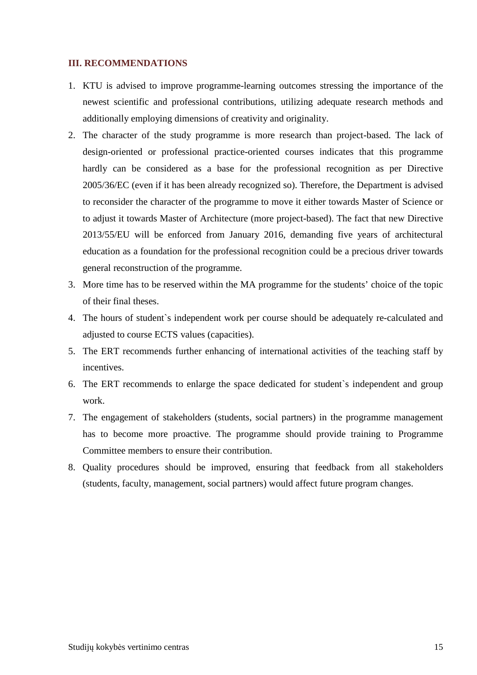#### **III. RECOMMENDATIONS**

- 1. KTU is advised to improve programme-learning outcomes stressing the importance of the newest scientific and professional contributions, utilizing adequate research methods and additionally employing dimensions of creativity and originality.
- 2. The character of the study programme is more research than project-based. The lack of design-oriented or professional practice-oriented courses indicates that this programme hardly can be considered as a base for the professional recognition as per Directive 2005/36/EC (even if it has been already recognized so). Therefore, the Department is advised to reconsider the character of the programme to move it either towards Master of Science or to adjust it towards Master of Architecture (more project-based). The fact that new Directive 2013/55/EU will be enforced from January 2016, demanding five years of architectural education as a foundation for the professional recognition could be a precious driver towards general reconstruction of the programme.
- 3. More time has to be reserved within the MA programme for the students' choice of the topic of their final theses.
- 4. The hours of student`s independent work per course should be adequately re-calculated and adjusted to course ECTS values (capacities).
- 5. The ERT recommends further enhancing of international activities of the teaching staff by incentives.
- 6. The ERT recommends to enlarge the space dedicated for student`s independent and group work.
- 7. The engagement of stakeholders (students, social partners) in the programme management has to become more proactive. The programme should provide training to Programme Committee members to ensure their contribution.
- 8. Quality procedures should be improved, ensuring that feedback from all stakeholders (students, faculty, management, social partners) would affect future program changes.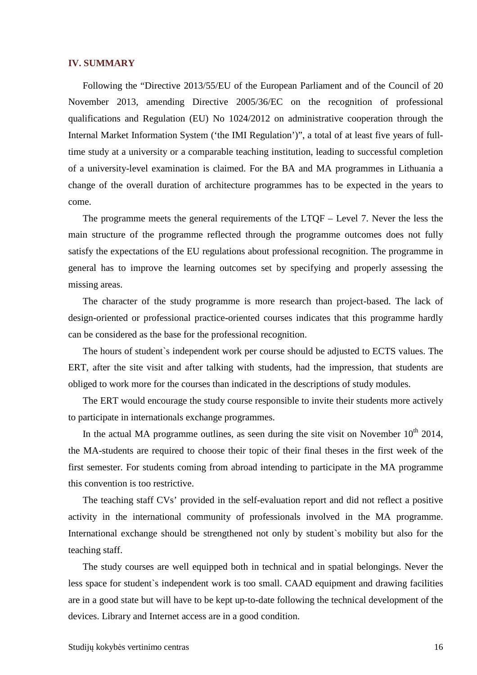#### **IV. SUMMARY**

Following the "Directive 2013/55/EU of the European Parliament and of the Council of 20 November 2013, amending Directive 2005/36/EC on the recognition of professional qualifications and Regulation (EU) No 1024/2012 on administrative cooperation through the Internal Market Information System ('the IMI Regulation')", a total of at least five years of fulltime study at a university or a comparable teaching institution, leading to successful completion of a university-level examination is claimed. For the BA and MA programmes in Lithuania a change of the overall duration of architecture programmes has to be expected in the years to come.

The programme meets the general requirements of the LTQF – Level 7. Never the less the main structure of the programme reflected through the programme outcomes does not fully satisfy the expectations of the EU regulations about professional recognition. The programme in general has to improve the learning outcomes set by specifying and properly assessing the missing areas.

The character of the study programme is more research than project-based. The lack of design-oriented or professional practice-oriented courses indicates that this programme hardly can be considered as the base for the professional recognition.

The hours of student`s independent work per course should be adjusted to ECTS values. The ERT, after the site visit and after talking with students, had the impression, that students are obliged to work more for the courses than indicated in the descriptions of study modules.

The ERT would encourage the study course responsible to invite their students more actively to participate in internationals exchange programmes.

In the actual MA programme outlines, as seen during the site visit on November  $10^{th}$  2014, the MA-students are required to choose their topic of their final theses in the first week of the first semester. For students coming from abroad intending to participate in the MA programme this convention is too restrictive.

The teaching staff CVs' provided in the self-evaluation report and did not reflect a positive activity in the international community of professionals involved in the MA programme. International exchange should be strengthened not only by student`s mobility but also for the teaching staff.

The study courses are well equipped both in technical and in spatial belongings. Never the less space for student`s independent work is too small. CAAD equipment and drawing facilities are in a good state but will have to be kept up-to-date following the technical development of the devices. Library and Internet access are in a good condition.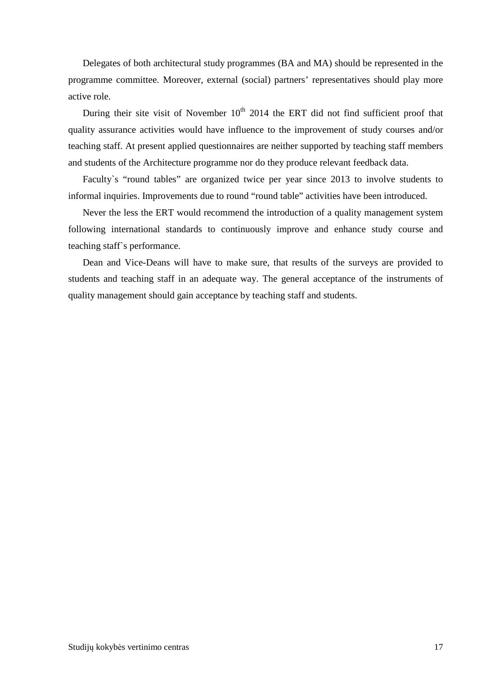Delegates of both architectural study programmes (BA and MA) should be represented in the programme committee. Moreover, external (social) partners' representatives should play more active role.

During their site visit of November  $10<sup>th</sup>$  2014 the ERT did not find sufficient proof that quality assurance activities would have influence to the improvement of study courses and/or teaching staff. At present applied questionnaires are neither supported by teaching staff members and students of the Architecture programme nor do they produce relevant feedback data.

Faculty`s "round tables" are organized twice per year since 2013 to involve students to informal inquiries. Improvements due to round "round table" activities have been introduced.

Never the less the ERT would recommend the introduction of a quality management system following international standards to continuously improve and enhance study course and teaching staff`s performance.

Dean and Vice-Deans will have to make sure, that results of the surveys are provided to students and teaching staff in an adequate way. The general acceptance of the instruments of quality management should gain acceptance by teaching staff and students.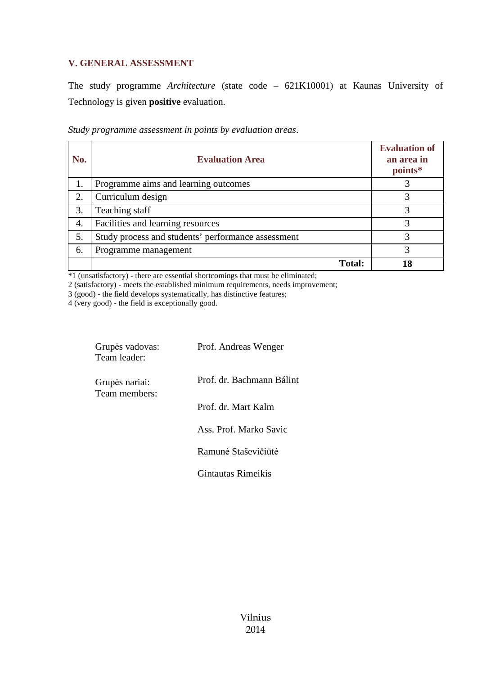### **V. GENERAL ASSESSMENT**

The study programme *Architecture* (state code – 621K10001) at Kaunas University of Technology is given **positive** evaluation.

*Study programme assessment in points by evaluation areas*.

| No. | <b>Evaluation Area</b>                             | <b>Evaluation of</b><br>an area in<br>points* |
|-----|----------------------------------------------------|-----------------------------------------------|
| 1.  | Programme aims and learning outcomes               |                                               |
| 2.  | Curriculum design                                  |                                               |
| 3.  | Teaching staff                                     |                                               |
| 4.  | Facilities and learning resources                  | 3                                             |
| 5.  | Study process and students' performance assessment |                                               |
| 6.  | Programme management                               | 3                                             |
|     | <b>Total:</b>                                      |                                               |

\*1 (unsatisfactory) - there are essential shortcomings that must be eliminated;

2 (satisfactory) - meets the established minimum requirements, needs improvement;

3 (good) - the field develops systematically, has distinctive features;

4 (very good) - the field is exceptionally good.

| Grupės vadovas:<br>Team leader: | Prof. Andreas Wenger      |  |
|---------------------------------|---------------------------|--|
| Grupės nariai:<br>Team members: | Prof. dr. Bachmann Bálint |  |
|                                 | Prof. dr. Mart Kalm       |  |
|                                 | Ass. Prof. Marko Savic    |  |
|                                 | Ramunė Staševičiūtė       |  |
|                                 | Gintautas Rimeikis        |  |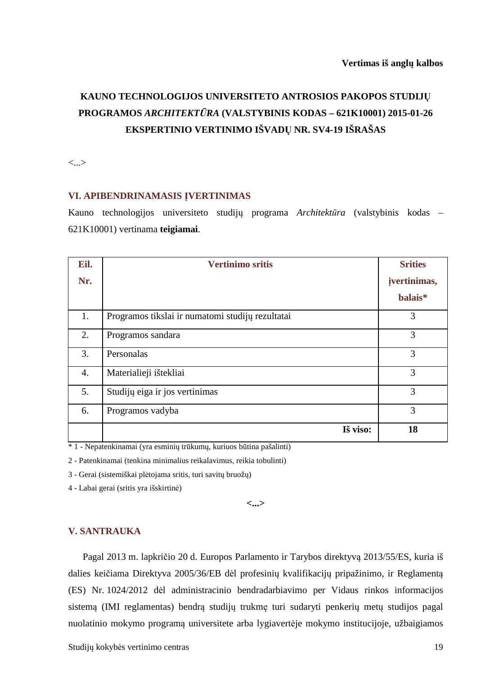# **KAUNO TECHNOLOGIJOS UNIVERSITETO ANTROSIOS PAKOPOS STUDIJŲ PROGRAMOS** *ARCHITEKTŪRA* **(VALSTYBINIS KODAS – 621K10001) 2015-01-26 EKSPERTINIO VERTINIMO IŠVADŲ NR. SV4-19 IŠRAŠAS**

<...>

#### **VI. APIBENDRINAMASIS ĮVERTINIMAS**

Kauno technologijos universiteto studijų programa *Architektūra* (valstybinis kodas – 621K10001) vertinama **teigiamai**.

| Eil.             | <b>Vertinimo sritis</b>                          | <b>Srities</b> |
|------------------|--------------------------------------------------|----------------|
| Nr.              |                                                  | jvertinimas,   |
|                  |                                                  | balais*        |
| 1.               | Programos tikslai ir numatomi studijų rezultatai | 3              |
| 2.               | Programos sandara                                | 3              |
| 3.               | Personalas                                       | 3              |
| $\overline{4}$ . | Materialieji ištekliai                           | 3              |
| 5.               | Studijų eiga ir jos vertinimas                   | 3              |
| 6.               | Programos vadyba                                 | 3              |
|                  | Iš viso:                                         | 18             |

\* 1 - Nepatenkinamai (yra esminių trūkumų, kuriuos būtina pašalinti)

2 - Patenkinamai (tenkina minimalius reikalavimus, reikia tobulinti)

3 - Gerai (sistemiškai plėtojama sritis, turi savitų bruožų)

4 - Labai gerai (sritis yra išskirtinė)

**<...>** 

#### **V. SANTRAUKA**

Pagal 2013 m. lapkričio 20 d. Europos Parlamento ir Tarybos direktyvą 2013/55/ES, kuria iš dalies keičiama Direktyva 2005/36/EB dėl profesinių kvalifikacijų pripažinimo, ir Reglamentą (ES) Nr. 1024/2012 dėl administracinio bendradarbiavimo per Vidaus rinkos informacijos sistemą (IMI reglamentas) bendrą studijų trukmę turi sudaryti penkerių metų studijos pagal nuolatinio mokymo programą universitete arba lygiavertėje mokymo institucijoje, užbaigiamos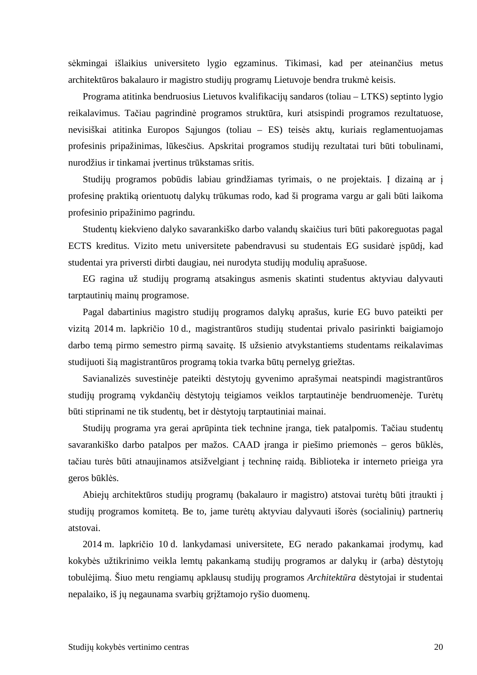sėkmingai išlaikius universiteto lygio egzaminus. Tikimasi, kad per ateinančius metus architektūros bakalauro ir magistro studijų programų Lietuvoje bendra trukmė keisis.

Programa atitinka bendruosius Lietuvos kvalifikacijų sandaros (toliau – LTKS) septinto lygio reikalavimus. Tačiau pagrindinė programos struktūra, kuri atsispindi programos rezultatuose, nevisiškai atitinka Europos Sąjungos (toliau – ES) teisės aktų, kuriais reglamentuojamas profesinis pripažinimas, lūkesčius. Apskritai programos studijų rezultatai turi būti tobulinami, nurodžius ir tinkamai įvertinus trūkstamas sritis.

Studijų programos pobūdis labiau grindžiamas tyrimais, o ne projektais. Į dizainą ar į profesinę praktiką orientuotų dalykų trūkumas rodo, kad ši programa vargu ar gali būti laikoma profesinio pripažinimo pagrindu.

Studentų kiekvieno dalyko savarankiško darbo valandų skaičius turi būti pakoreguotas pagal ECTS kreditus. Vizito metu universitete pabendravusi su studentais EG susidarė įspūdį, kad studentai yra priversti dirbti daugiau, nei nurodyta studijų modulių aprašuose.

EG ragina už studijų programą atsakingus asmenis skatinti studentus aktyviau dalyvauti tarptautinių mainų programose.

Pagal dabartinius magistro studijų programos dalykų aprašus, kurie EG buvo pateikti per vizitą 2014 m. lapkričio 10 d., magistrantūros studijų studentai privalo pasirinkti baigiamojo darbo temą pirmo semestro pirmą savaitę. Iš užsienio atvykstantiems studentams reikalavimas studijuoti šią magistrantūros programą tokia tvarka būtų pernelyg griežtas.

Savianalizės suvestinėje pateikti dėstytojų gyvenimo aprašymai neatspindi magistrantūros studijų programą vykdančių dėstytojų teigiamos veiklos tarptautinėje bendruomenėje. Turėtų būti stiprinami ne tik studentų, bet ir dėstytojų tarptautiniai mainai.

Studijų programa yra gerai aprūpinta tiek technine įranga, tiek patalpomis. Tačiau studentų savarankiško darbo patalpos per mažos. CAAD įranga ir piešimo priemonės – geros būklės, tačiau turės būti atnaujinamos atsižvelgiant į techninę raidą. Biblioteka ir interneto prieiga yra geros būklės.

Abiejų architektūros studijų programų (bakalauro ir magistro) atstovai turėtų būti įtraukti į studijų programos komitetą. Be to, jame turėtų aktyviau dalyvauti išorės (socialinių) partnerių atstovai.

2014 m. lapkričio 10 d. lankydamasi universitete, EG nerado pakankamai įrodymų, kad kokybės užtikrinimo veikla lemtų pakankamą studijų programos ar dalykų ir (arba) dėstytojų tobulėjimą. Šiuo metu rengiamų apklausų studijų programos *Architektūra* dėstytojai ir studentai nepalaiko, iš jų negaunama svarbių grįžtamojo ryšio duomenų.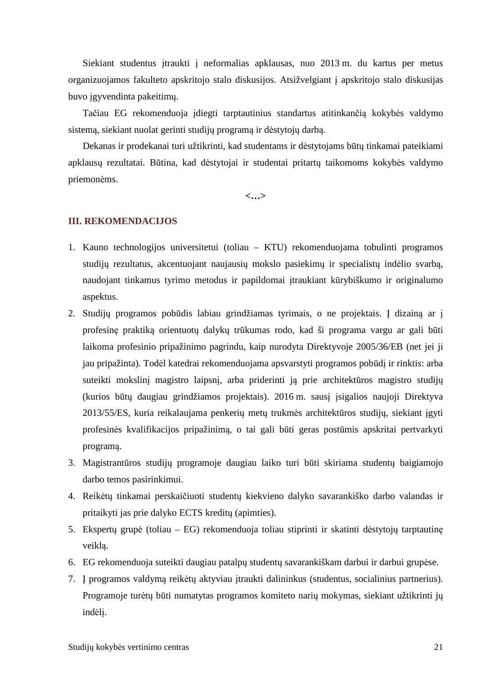Siekiant studentus įtraukti į neformalias apklausas, nuo 2013 m. du kartus per metus organizuojamos fakulteto apskritojo stalo diskusijos. Atsižvelgiant į apskritojo stalo diskusijas buvo įgyvendinta pakeitimų.

Tačiau EG rekomenduoja įdiegti tarptautinius standartus atitinkančią kokybės valdymo sistemą, siekiant nuolat gerinti studijų programą ir dėstytojų darbą.

Dekanas ir prodekanai turi užtikrinti, kad studentams ir dėstytojams būtų tinkamai pateikiami apklausų rezultatai. Būtina, kad dėstytojai ir studentai pritartų taikomoms kokybės valdymo priemonėms.

**<…>**

#### **III. REKOMENDACIJOS**

- 1. Kauno technologijos universitetui (toliau KTU) rekomenduojama tobulinti programos studijų rezultatus, akcentuojant naujausių mokslo pasiekimų ir specialistų indėlio svarbą, naudojant tinkamus tyrimo metodus ir papildomai įtraukiant kūrybiškumo ir originalumo aspektus.
- 2. Studijų programos pobūdis labiau grindžiamas tyrimais, o ne projektais. Į dizainą ar į profesinę praktiką orientuotų dalykų trūkumas rodo, kad ši programa vargu ar gali būti laikoma profesinio pripažinimo pagrindu, kaip nurodyta Direktyvoje 2005/36/EB (net jei ji jau pripažinta). Todėl katedrai rekomenduojama apsvarstyti programos pobūdį ir rinktis: arba suteikti mokslinį magistro laipsnį, arba priderinti ją prie architektūros magistro studijų (kurios būtų daugiau grindžiamos projektais). 2016 m. sausį įsigalios naujoji Direktyva 2013/55/ES, kuria reikalaujama penkerių metų trukmės architektūros studijų, siekiant įgyti profesinės kvalifikacijos pripažinimą, o tai gali būti geras postūmis apskritai pertvarkyti programą.
- 3. Magistrantūros studijų programoje daugiau laiko turi būti skiriama studentų baigiamojo darbo temos pasirinkimui.
- 4. Reikėtų tinkamai perskaičiuoti studentų kiekvieno dalyko savarankiško darbo valandas ir pritaikyti jas prie dalyko ECTS kreditų (apimties).
- 5. Ekspertų grupė (toliau EG) rekomenduoja toliau stiprinti ir skatinti dėstytojų tarptautinę veiklą.
- 6. EG rekomenduoja suteikti daugiau patalpų studentų savarankiškam darbui ir darbui grupėse.
- 7. Į programos valdymą reikėtų aktyviau įtraukti dalininkus (studentus, socialinius partnerius). Programoje turėtų būti numatytas programos komiteto narių mokymas, siekiant užtikrinti jų indėlį.